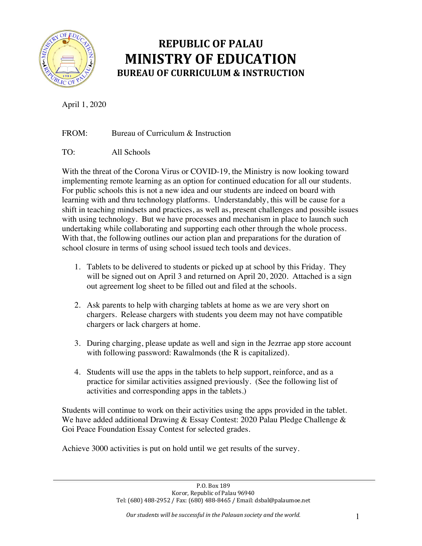

# **REPUBLIC OF PALAU MINISTRY OF EDUCATION BUREAU OF CURRICULUM & INSTRUCTION**

April 1, 2020

FROM: Bureau of Curriculum & Instruction

TO: All Schools

With the threat of the Corona Virus or COVID-19, the Ministry is now looking toward implementing remote learning as an option for continued education for all our students. For public schools this is not a new idea and our students are indeed on board with learning with and thru technology platforms. Understandably, this will be cause for a shift in teaching mindsets and practices, as well as, present challenges and possible issues with using technology. But we have processes and mechanism in place to launch such undertaking while collaborating and supporting each other through the whole process. With that, the following outlines our action plan and preparations for the duration of school closure in terms of using school issued tech tools and devices.

- 1. Tablets to be delivered to students or picked up at school by this Friday. They will be signed out on April 3 and returned on April 20, 2020. Attached is a sign out agreement log sheet to be filled out and filed at the schools.
- 2. Ask parents to help with charging tablets at home as we are very short on chargers. Release chargers with students you deem may not have compatible chargers or lack chargers at home.
- 3. During charging, please update as well and sign in the Jezrrae app store account with following password: Rawalmonds (the R is capitalized).
- 4. Students will use the apps in the tablets to help support, reinforce, and as a practice for similar activities assigned previously. (See the following list of activities and corresponding apps in the tablets.)

Students will continue to work on their activities using the apps provided in the tablet. We have added additional Drawing & Essay Contest: 2020 Palau Pledge Challenge & Goi Peace Foundation Essay Contest for selected grades.

Achieve 3000 activities is put on hold until we get results of the survey.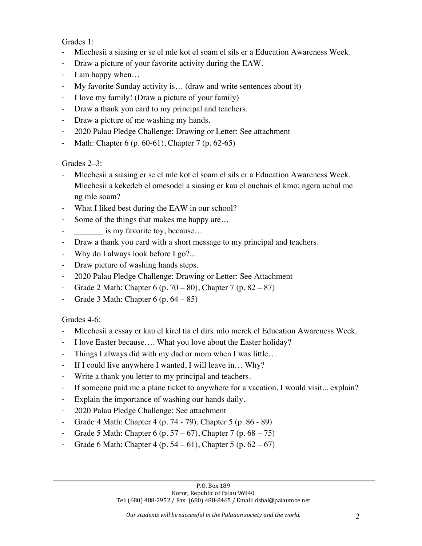### Grades 1:

- Mlechesii a siasing er se el mle kot el soam el sils er a Education Awareness Week.
- Draw a picture of your favorite activity during the EAW.
- I am happy when…
- My favorite Sunday activity is… (draw and write sentences about it)
- I love my family! (Draw a picture of your family)
- Draw a thank you card to my principal and teachers.
- Draw a picture of me washing my hands.
- 2020 Palau Pledge Challenge: Drawing or Letter: See attachment
- Math: Chapter 6 (p. 60-61), Chapter 7 (p. 62-65)

Grades 2–3:

- Mlechesii a siasing er se el mle kot el soam el sils er a Education Awareness Week. Mlechesii a kekedeb el omesodel a siasing er kau el ouchais el kmo; ngera uchul me ng mle soam?
- What I liked best during the EAW in our school?
- Some of the things that makes me happy are...
- **EXECUTE:** is my favorite toy, because...
- Draw a thank you card with a short message to my principal and teachers.
- Why do I always look before I go?...
- Draw picture of washing hands steps.
- 2020 Palau Pledge Challenge: Drawing or Letter: See Attachment
- Grade 2 Math: Chapter  $6 (p. 70 80)$ , Chapter  $7 (p. 82 87)$
- Grade 3 Math: Chapter  $6$  (p.  $64 85$ )

Grades 4-6:

- Mlechesii a essay er kau el kirel tia el dirk mlo merek el Education Awareness Week.
- I love Easter because.... What you love about the Easter holiday?
- Things I always did with my dad or mom when I was little…
- If I could live anywhere I wanted, I will leave in… Why?
- Write a thank you letter to my principal and teachers.
- If someone paid me a plane ticket to anywhere for a vacation, I would visit... explain?
- Explain the importance of washing our hands daily.
- 2020 Palau Pledge Challenge: See attachment
- Grade 4 Math: Chapter 4 (p. 74 79), Chapter 5 (p. 86 89)
- Grade 5 Math: Chapter 6 (p.  $57 67$ ), Chapter 7 (p.  $68 75$ )
- Grade 6 Math: Chapter 4 (p.  $54 61$ ), Chapter 5 (p.  $62 67$ )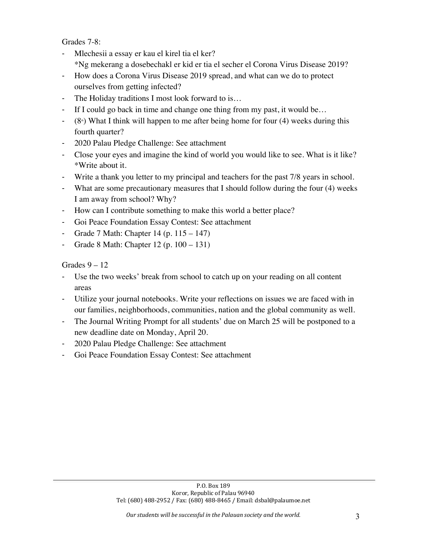Grades 7-8:

- Mlechesii a essay er kau el kirel tia el ker? \*Ng mekerang a dosebechakl er kid er tia el secher el Corona Virus Disease 2019?
- How does a Corona Virus Disease 2019 spread, and what can we do to protect ourselves from getting infected?
- The Holiday traditions I most look forward to is...
- If I could go back in time and change one thing from my past, it would be...
- $-$  (8<sup>th</sup>) What I think will happen to me after being home for four (4) weeks during this fourth quarter?
- 2020 Palau Pledge Challenge: See attachment
- Close your eyes and imagine the kind of world you would like to see. What is it like? \*Write about it.
- Write a thank you letter to my principal and teachers for the past 7/8 years in school.
- What are some precautionary measures that I should follow during the four (4) weeks I am away from school? Why?
- How can I contribute something to make this world a better place?
- Goi Peace Foundation Essay Contest: See attachment
- Grade 7 Math: Chapter  $14$  (p.  $115 147$ )
- Grade 8 Math: Chapter 12 (p. 100 131)

Grades  $9 - 12$ 

- Use the two weeks' break from school to catch up on your reading on all content areas
- Utilize your journal notebooks. Write your reflections on issues we are faced with in our families, neighborhoods, communities, nation and the global community as well.
- The Journal Writing Prompt for all students' due on March 25 will be postponed to a new deadline date on Monday, April 20.
- 2020 Palau Pledge Challenge: See attachment
- Goi Peace Foundation Essay Contest: See attachment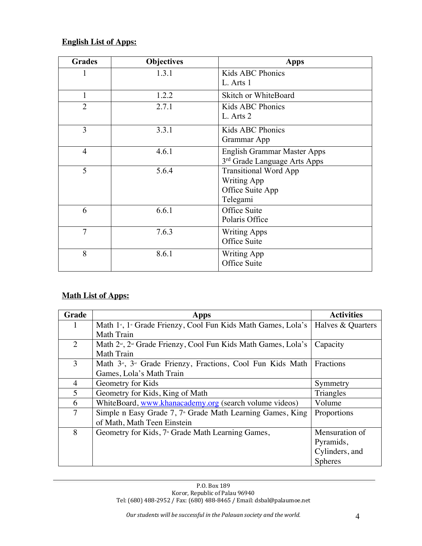## **English List of Apps:**

| <b>Grades</b>  | <b>Objectives</b> | <b>Apps</b>                              |
|----------------|-------------------|------------------------------------------|
| 1              | 1.3.1             | Kids ABC Phonics                         |
|                |                   | L. Arts 1                                |
| $\mathbf{1}$   | 1.2.2             | Skitch or WhiteBoard                     |
| $\overline{2}$ | 2.7.1             | Kids ABC Phonics                         |
|                |                   | L. Arts 2                                |
| $\overline{3}$ | 3.3.1             | Kids ABC Phonics                         |
|                |                   | Grammar App                              |
| $\overline{4}$ | 4.6.1             | English Grammar Master Apps              |
|                |                   | 3 <sup>rd</sup> Grade Language Arts Apps |
| 5              | 5.6.4             | <b>Transitional Word App</b>             |
|                |                   | <b>Writing App</b>                       |
|                |                   | Office Suite App                         |
|                |                   | Telegami                                 |
| 6              | 6.6.1             | Office Suite                             |
|                |                   | Polaris Office                           |
| 7              | 7.6.3             | <b>Writing Apps</b>                      |
|                |                   | Office Suite                             |
| 8              | 8.6.1             | <b>Writing App</b>                       |
|                |                   | Office Suite                             |

# **Math List of Apps:**

| <b>Grade</b> | Apps                                                                                   | <b>Activities</b> |
|--------------|----------------------------------------------------------------------------------------|-------------------|
|              | Math 1 <sup>*</sup> , 1 <sup>*</sup> Grade Frienzy, Cool Fun Kids Math Games, Lola's   | Halves & Quarters |
|              | Math Train                                                                             |                   |
| 2            | Math 2 <sup>nd</sup> , 2 <sup>nd</sup> Grade Frienzy, Cool Fun Kids Math Games, Lola's | Capacity          |
|              | <b>Math Train</b>                                                                      |                   |
| 3            | Math 3 <sup>rd</sup> , 3 <sup>rd</sup> Grade Frienzy, Fractions, Cool Fun Kids Math    | Fractions         |
|              | Games, Lola's Math Train                                                               |                   |
| 4            | Geometry for Kids                                                                      | Symmetry          |
| 5            | Geometry for Kids, King of Math                                                        | Triangles         |
| 6            | WhiteBoard, www.khanacademy.org (search volume videos)                                 | Volume            |
| $\tau$       | Simple n Easy Grade 7, 7 <sup>th</sup> Grade Math Learning Games, King                 | Proportions       |
|              | of Math, Math Teen Einstein                                                            |                   |
| 8            | Geometry for Kids, 7 <sup>th</sup> Grade Math Learning Games,                          | Mensuration of    |
|              |                                                                                        | Pyramids,         |
|              |                                                                                        | Cylinders, and    |
|              |                                                                                        | <b>Spheres</b>    |